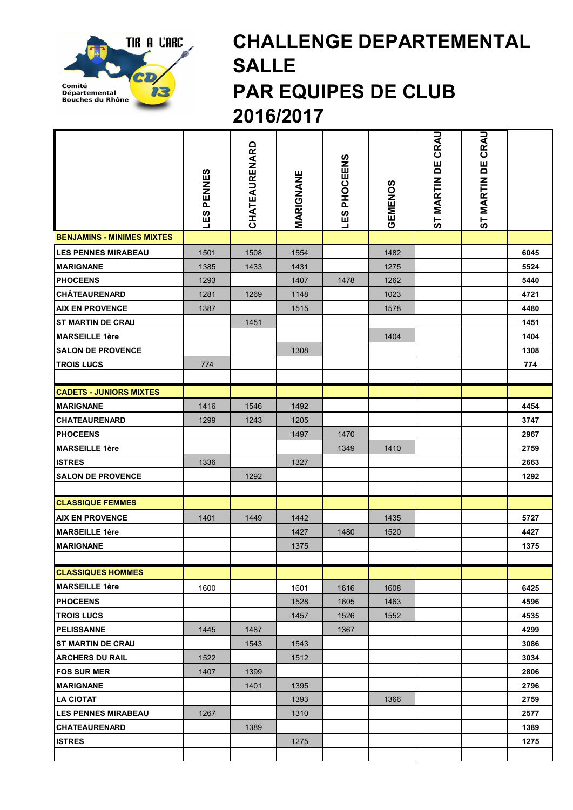

## CHALLENGE DEPARTEMENTAL SALLE PAR EQUIPES DE CLUB 2016/2017

|                                                   | PENNES<br><b>SET</b> | CHATEAURENARD | MARIGNANE | LES PHOCEENS | GEMENOS | CRAU<br>ST MARTIN DE | ST MARTIN DE CRAU |              |
|---------------------------------------------------|----------------------|---------------|-----------|--------------|---------|----------------------|-------------------|--------------|
| <b>BENJAMINS - MINIMES MIXTES</b>                 |                      |               |           |              |         |                      |                   |              |
| <b>LES PENNES MIRABEAU</b>                        | 1501                 | 1508          | 1554      |              | 1482    |                      |                   | 6045         |
| <b>MARIGNANE</b>                                  | 1385                 | 1433          | 1431      |              | 1275    |                      |                   | 5524         |
| <b>PHOCEENS</b>                                   | 1293                 |               | 1407      | 1478         | 1262    |                      |                   | 5440         |
| <b>CHÂTEAURENARD</b>                              | 1281                 | 1269          | 1148      |              | 1023    |                      |                   | 4721         |
| <b>AIX EN PROVENCE</b>                            | 1387                 |               | 1515      |              | 1578    |                      |                   | 4480         |
| <b>ST MARTIN DE CRAU</b>                          |                      | 1451          |           |              |         |                      |                   | 1451         |
| <b>MARSEILLE 1ère</b>                             |                      |               |           |              | 1404    |                      |                   | 1404         |
| <b>SALON DE PROVENCE</b>                          |                      |               | 1308      |              |         |                      |                   | 1308         |
| <b>TROIS LUCS</b>                                 | 774                  |               |           |              |         |                      |                   | 774          |
|                                                   |                      |               |           |              |         |                      |                   |              |
| <b>CADETS - JUNIORS MIXTES</b>                    |                      |               |           |              |         |                      |                   |              |
| <b>MARIGNANE</b>                                  | 1416                 | 1546          | 1492      |              |         |                      |                   | 4454         |
| <b>CHATEAURENARD</b>                              | 1299                 | 1243          | 1205      |              |         |                      |                   | 3747         |
| <b>PHOCEENS</b>                                   |                      |               | 1497      | 1470         |         |                      |                   | 2967         |
| <b>MARSEILLE 1ère</b>                             |                      |               |           | 1349         | 1410    |                      |                   | 2759         |
| <b>ISTRES</b>                                     | 1336                 |               | 1327      |              |         |                      |                   | 2663         |
| <b>SALON DE PROVENCE</b>                          |                      | 1292          |           |              |         |                      |                   | 1292         |
|                                                   |                      |               |           |              |         |                      |                   |              |
| <b>CLASSIQUE FEMMES</b>                           |                      |               |           |              |         |                      |                   |              |
| <b>AIX EN PROVENCE</b>                            | 1401                 | 1449          | 1442      |              | 1435    |                      |                   | 5727         |
| <b>MARSEILLE 1ère</b>                             |                      |               | 1427      | 1480         | 1520    |                      |                   | 4427         |
| <b>MARIGNANE</b>                                  |                      |               | 1375      |              |         |                      |                   | 1375         |
|                                                   |                      |               |           |              |         |                      |                   |              |
| <b>CLASSIQUES HOMMES</b><br><b>MARSEILLE 1ère</b> |                      |               |           |              |         |                      |                   |              |
|                                                   | 1600                 |               | 1601      | 1616         | 1608    |                      |                   | 6425         |
| <b>PHOCEENS</b>                                   |                      |               | 1528      | 1605         | 1463    |                      |                   | 4596         |
| <b>TROIS LUCS</b><br><b>PELISSANNE</b>            | 1445                 | 1487          | 1457      | 1526<br>1367 | 1552    |                      |                   | 4535<br>4299 |
| <b>ST MARTIN DE CRAU</b>                          |                      | 1543          | 1543      |              |         |                      |                   | 3086         |
| <b>ARCHERS DU RAIL</b>                            | 1522                 |               | 1512      |              |         |                      |                   | 3034         |
| <b>FOS SUR MER</b>                                | 1407                 | 1399          |           |              |         |                      |                   | 2806         |
| <b>MARIGNANE</b>                                  |                      | 1401          | 1395      |              |         |                      |                   | 2796         |
| <b>LA CIOTAT</b>                                  |                      |               | 1393      |              | 1366    |                      |                   | 2759         |
| <b>LES PENNES MIRABEAU</b>                        | 1267                 |               | 1310      |              |         |                      |                   | 2577         |
| <b>CHATEAURENARD</b>                              |                      | 1389          |           |              |         |                      |                   | 1389         |
| <b>ISTRES</b>                                     |                      |               | 1275      |              |         |                      |                   | 1275         |
|                                                   |                      |               |           |              |         |                      |                   |              |